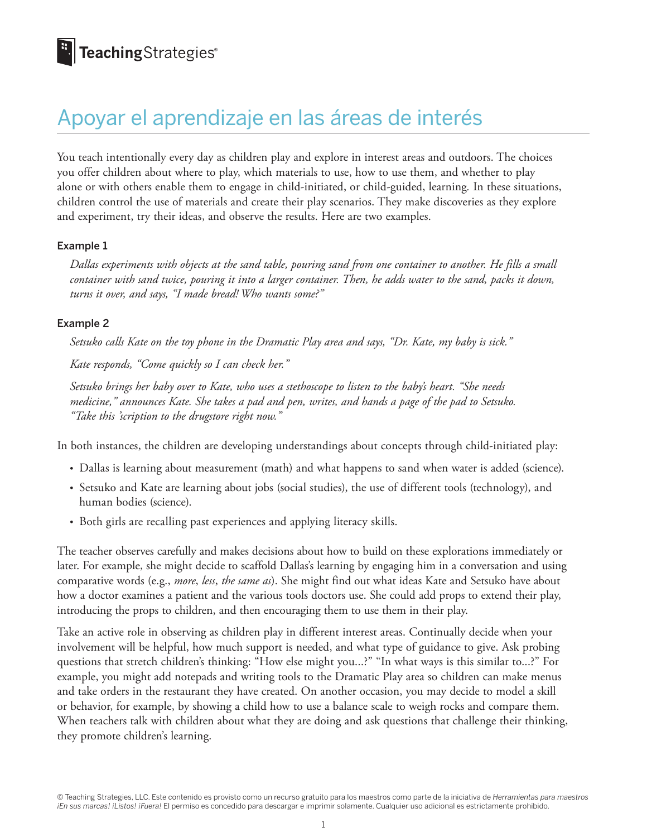## Apoyar el aprendizaje en las áreas de interés

You teach intentionally every day as children play and explore in interest areas and outdoors. The choices you offer children about where to play, which materials to use, how to use them, and whether to play alone or with others enable them to engage in child-initiated, or child-guided, learning*.* In these situations, children control the use of materials and create their play scenarios. They make discoveries as they explore and experiment, try their ideas, and observe the results. Here are two examples.

## Example 1

*Dallas experiments with objects at the sand table, pouring sand from one container to another. He fills a small container with sand twice, pouring it into a larger container. Then, he adds water to the sand, packs it down, turns it over, and says, "I made bread! Who wants some?"*

## Example 2

*Setsuko calls Kate on the toy phone in the Dramatic Play area and says, "Dr. Kate, my baby is sick."*

*Kate responds, "Come quickly so I can check her."*

*Setsuko brings her baby over to Kate, who uses a stethoscope to listen to the baby's heart. "She needs medicine," announces Kate. She takes a pad and pen, writes, and hands a page of the pad to Setsuko. "Take this 'scription to the drugstore right now."*

In both instances, the children are developing understandings about concepts through child-initiated play:

- Dallas is learning about measurement (math) and what happens to sand when water is added (science).
- Setsuko and Kate are learning about jobs (social studies), the use of different tools (technology), and human bodies (science).
- Both girls are recalling past experiences and applying literacy skills.

The teacher observes carefully and makes decisions about how to build on these explorations immediately or later. For example, she might decide to scaffold Dallas's learning by engaging him in a conversation and using comparative words (e.g., *more*, *less*, *the same as*). She might find out what ideas Kate and Setsuko have about how a doctor examines a patient and the various tools doctors use. She could add props to extend their play, introducing the props to children, and then encouraging them to use them in their play.

Take an active role in observing as children play in different interest areas. Continually decide when your involvement will be helpful, how much support is needed, and what type of guidance to give. Ask probing questions that stretch children's thinking: "How else might you...?" "In what ways is this similar to...?" For example, you might add notepads and writing tools to the Dramatic Play area so children can make menus and take orders in the restaurant they have created. On another occasion, you may decide to model a skill or behavior, for example, by showing a child how to use a balance scale to weigh rocks and compare them. When teachers talk with children about what they are doing and ask questions that challenge their thinking, they promote children's learning.